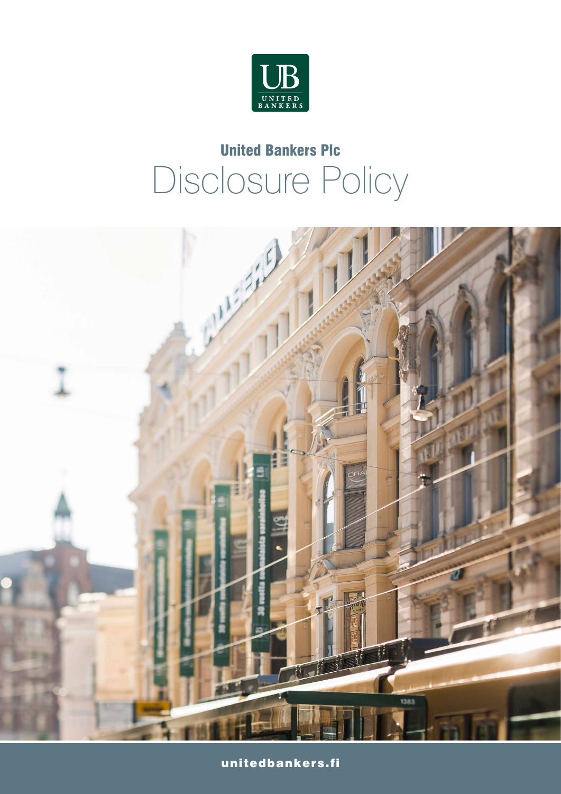

# United Bankers Plc Disclosure Policy



unitedbankers.fi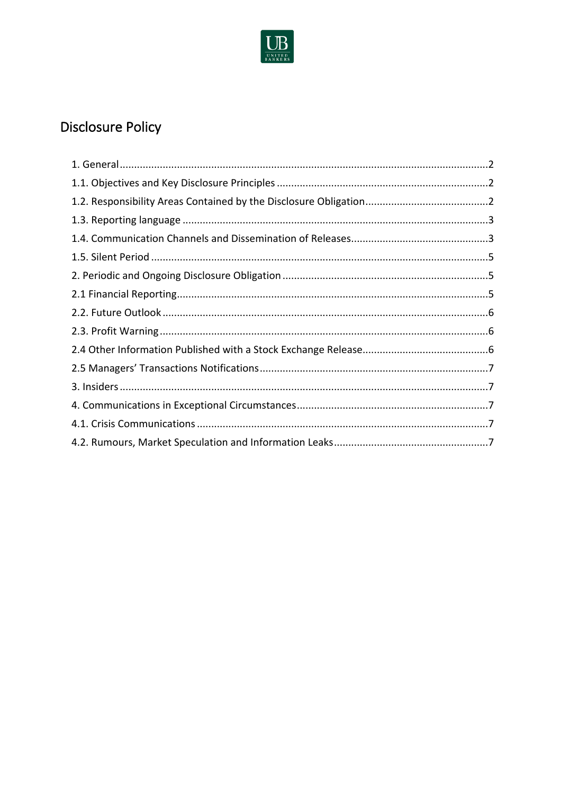

# **Disclosure Policy**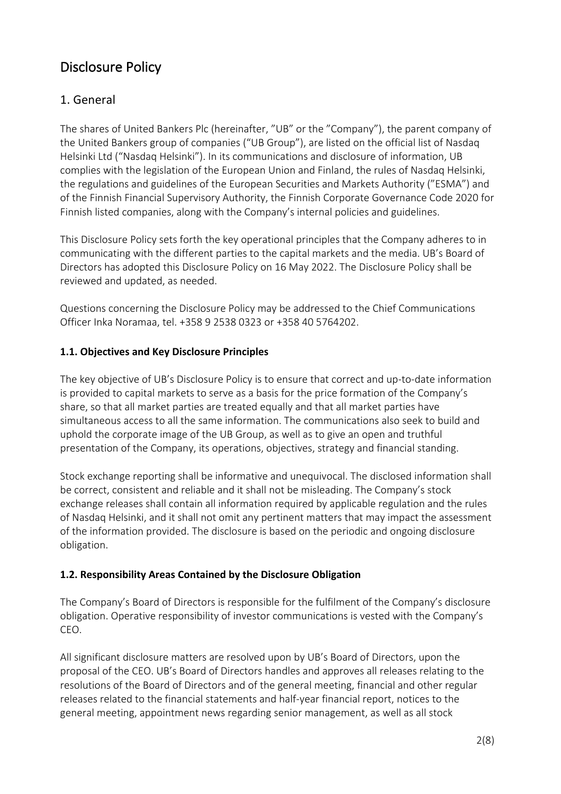# Disclosure Policy

# 1. General

The shares of United Bankers Plc (hereinafter, "UB" or the "Company"), the parent company of the United Bankers group of companies ("UB Group"), are listed on the official list of Nasdaq Helsinki Ltd ("Nasdaq Helsinki"). In its communications and disclosure of information, UB complies with the legislation of the European Union and Finland, the rules of Nasdaq Helsinki, the regulations and guidelines of the European Securities and Markets Authority ("ESMA") and of the Finnish Financial Supervisory Authority, the Finnish Corporate Governance Code 2020 for Finnish listed companies, along with the Company's internal policies and guidelines.

This Disclosure Policy sets forth the key operational principles that the Company adheres to in communicating with the different parties to the capital markets and the media. UB's Board of Directors has adopted this Disclosure Policy on 16 May 2022. The Disclosure Policy shall be reviewed and updated, as needed.

Questions concerning the Disclosure Policy may be addressed to the Chief Communications Officer Inka Noramaa, tel. +358 9 2538 0323 or +358 40 5764202.

#### **1.1. Objectives and Key Disclosure Principles**

The key objective of UB's Disclosure Policy is to ensure that correct and up-to-date information is provided to capital markets to serve as a basis for the price formation of the Company's share, so that all market parties are treated equally and that all market parties have simultaneous access to all the same information. The communications also seek to build and uphold the corporate image of the UB Group, as well as to give an open and truthful presentation of the Company, its operations, objectives, strategy and financial standing.

Stock exchange reporting shall be informative and unequivocal. The disclosed information shall be correct, consistent and reliable and it shall not be misleading. The Company's stock exchange releases shall contain all information required by applicable regulation and the rules of Nasdaq Helsinki, and it shall not omit any pertinent matters that may impact the assessment of the information provided. The disclosure is based on the periodic and ongoing disclosure obligation.

#### **1.2. Responsibility Areas Contained by the Disclosure Obligation**

The Company's Board of Directors is responsible for the fulfilment of the Company's disclosure obligation. Operative responsibility of investor communications is vested with the Company's CEO.

All significant disclosure matters are resolved upon by UB's Board of Directors, upon the proposal of the CEO. UB's Board of Directors handles and approves all releases relating to the resolutions of the Board of Directors and of the general meeting, financial and other regular releases related to the financial statements and half-year financial report, notices to the general meeting, appointment news regarding senior management, as well as all stock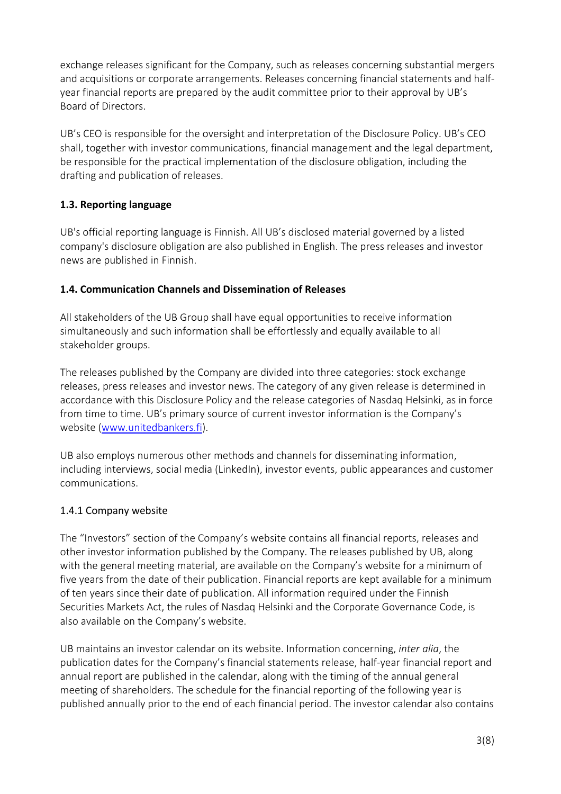exchange releases significant for the Company, such as releases concerning substantial mergers and acquisitions or corporate arrangements. Releases concerning financial statements and halfyear financial reports are prepared by the audit committee prior to their approval by UB's Board of Directors.

UB's CEO is responsible for the oversight and interpretation of the Disclosure Policy. UB's CEO shall, together with investor communications, financial management and the legal department, be responsible for the practical implementation of the disclosure obligation, including the drafting and publication of releases.

#### **1.3. Reporting language**

UB's official reporting language is Finnish. All UB's disclosed material governed by a listed company's disclosure obligation are also published in English. The press releases and investor news are published in Finnish.

#### **1.4. Communication Channels and Dissemination of Releases**

All stakeholders of the UB Group shall have equal opportunities to receive information simultaneously and such information shall be effortlessly and equally available to all stakeholder groups.

The releases published by the Company are divided into three categories: stock exchange releases, press releases and investor news. The category of any given release is determined in accordance with this Disclosure Policy and the release categories of Nasdaq Helsinki, as in force from time to time. UB's primary source of current investor information is the Company's website (www.unitedbankers.fi).

UB also employs numerous other methods and channels for disseminating information, including interviews, social media (LinkedIn), investor events, public appearances and customer communications.

#### 1.4.1 Company website

The "Investors" section of the Company's website contains all financial reports, releases and other investor information published by the Company. The releases published by UB, along with the general meeting material, are available on the Company's website for a minimum of five years from the date of their publication. Financial reports are kept available for a minimum of ten years since their date of publication. All information required under the Finnish Securities Markets Act, the rules of Nasdaq Helsinki and the Corporate Governance Code, is also available on the Company's website.

UB maintains an investor calendar on its website. Information concerning, *inter alia*, the publication dates for the Company's financial statements release, half-year financial report and annual report are published in the calendar, along with the timing of the annual general meeting of shareholders. The schedule for the financial reporting of the following year is published annually prior to the end of each financial period. The investor calendar also contains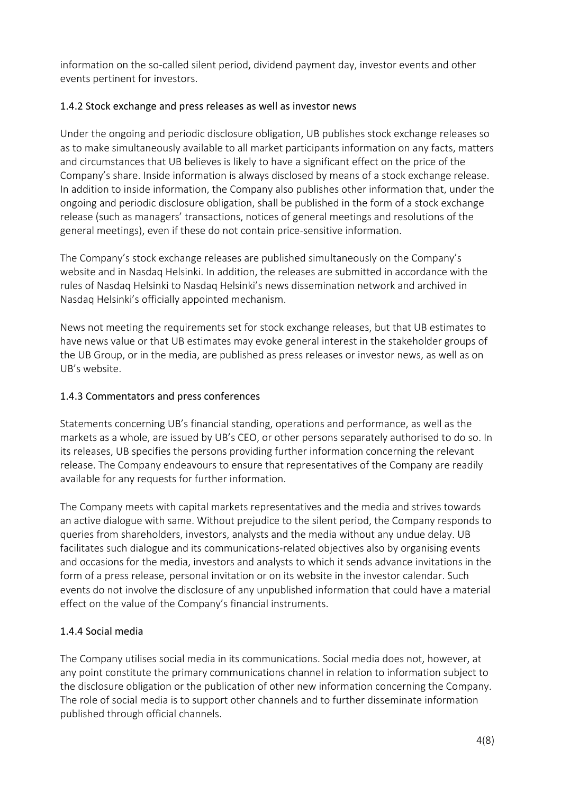information on the so-called silent period, dividend payment day, investor events and other events pertinent for investors.

#### 1.4.2 Stock exchange and press releases as well as investor news

Under the ongoing and periodic disclosure obligation, UB publishes stock exchange releases so as to make simultaneously available to all market participants information on any facts, matters and circumstances that UB believes is likely to have a significant effect on the price of the Company's share. Inside information is always disclosed by means of a stock exchange release. In addition to inside information, the Company also publishes other information that, under the ongoing and periodic disclosure obligation, shall be published in the form of a stock exchange release (such as managers' transactions, notices of general meetings and resolutions of the general meetings), even if these do not contain price-sensitive information.

The Company's stock exchange releases are published simultaneously on the Company's website and in Nasdaq Helsinki. In addition, the releases are submitted in accordance with the rules of Nasdaq Helsinki to Nasdaq Helsinki's news dissemination network and archived in Nasdaq Helsinki's officially appointed mechanism.

News not meeting the requirements set for stock exchange releases, but that UB estimates to have news value or that UB estimates may evoke general interest in the stakeholder groups of the UB Group, or in the media, are published as press releases or investor news, as well as on UB's website.

#### 1.4.3 Commentators and press conferences

Statements concerning UB's financial standing, operations and performance, as well as the markets as a whole, are issued by UB's CEO, or other persons separately authorised to do so. In its releases, UB specifies the persons providing further information concerning the relevant release. The Company endeavours to ensure that representatives of the Company are readily available for any requests for further information.

The Company meets with capital markets representatives and the media and strives towards an active dialogue with same. Without prejudice to the silent period, the Company responds to queries from shareholders, investors, analysts and the media without any undue delay. UB facilitates such dialogue and its communications-related objectives also by organising events and occasions for the media, investors and analysts to which it sends advance invitations in the form of a press release, personal invitation or on its website in the investor calendar. Such events do not involve the disclosure of any unpublished information that could have a material effect on the value of the Company's financial instruments.

#### 1.4.4 Social media

The Company utilises social media in its communications. Social media does not, however, at any point constitute the primary communications channel in relation to information subject to the disclosure obligation or the publication of other new information concerning the Company. The role of social media is to support other channels and to further disseminate information published through official channels.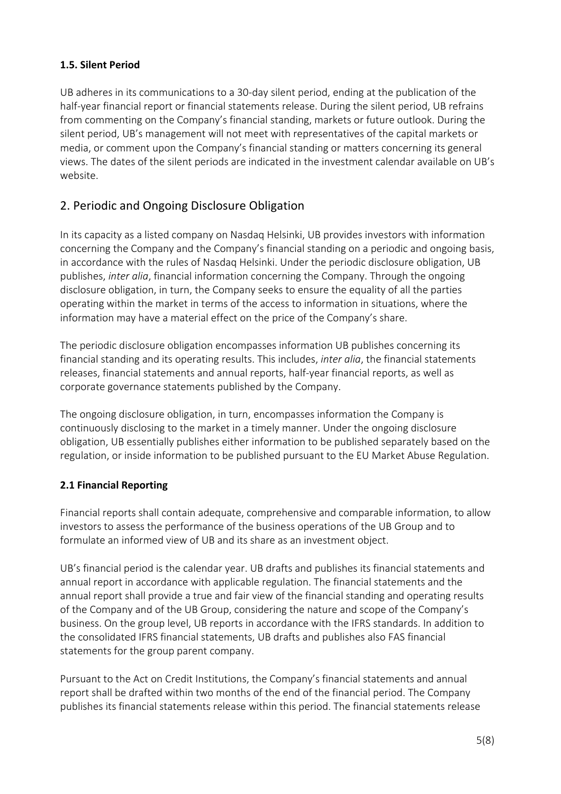#### **1.5. Silent Period**

UB adheres in its communications to a 30-day silent period, ending at the publication of the half-year financial report or financial statements release. During the silent period, UB refrains from commenting on the Company's financial standing, markets or future outlook. During the silent period, UB's management will not meet with representatives of the capital markets or media, or comment upon the Company's financial standing or matters concerning its general views. The dates of the silent periods are indicated in the investment calendar available on UB's website.

## 2. Periodic and Ongoing Disclosure Obligation

In its capacity as a listed company on Nasdaq Helsinki, UB provides investors with information concerning the Company and the Company's financial standing on a periodic and ongoing basis, in accordance with the rules of Nasdaq Helsinki. Under the periodic disclosure obligation, UB publishes, *inter alia*, financial information concerning the Company. Through the ongoing disclosure obligation, in turn, the Company seeks to ensure the equality of all the parties operating within the market in terms of the access to information in situations, where the information may have a material effect on the price of the Company's share.

The periodic disclosure obligation encompasses information UB publishes concerning its financial standing and its operating results. This includes, *inter alia*, the financial statements releases, financial statements and annual reports, half-year financial reports, as well as corporate governance statements published by the Company.

The ongoing disclosure obligation, in turn, encompasses information the Company is continuously disclosing to the market in a timely manner. Under the ongoing disclosure obligation, UB essentially publishes either information to be published separately based on the regulation, or inside information to be published pursuant to the EU Market Abuse Regulation.

#### **2.1 Financial Reporting**

Financial reports shall contain adequate, comprehensive and comparable information, to allow investors to assess the performance of the business operations of the UB Group and to formulate an informed view of UB and its share as an investment object.

UB's financial period is the calendar year. UB drafts and publishes its financial statements and annual report in accordance with applicable regulation. The financial statements and the annual report shall provide a true and fair view of the financial standing and operating results of the Company and of the UB Group, considering the nature and scope of the Company's business. On the group level, UB reports in accordance with the IFRS standards. In addition to the consolidated IFRS financial statements, UB drafts and publishes also FAS financial statements for the group parent company.

Pursuant to the Act on Credit Institutions, the Company's financial statements and annual report shall be drafted within two months of the end of the financial period. The Company publishes its financial statements release within this period. The financial statements release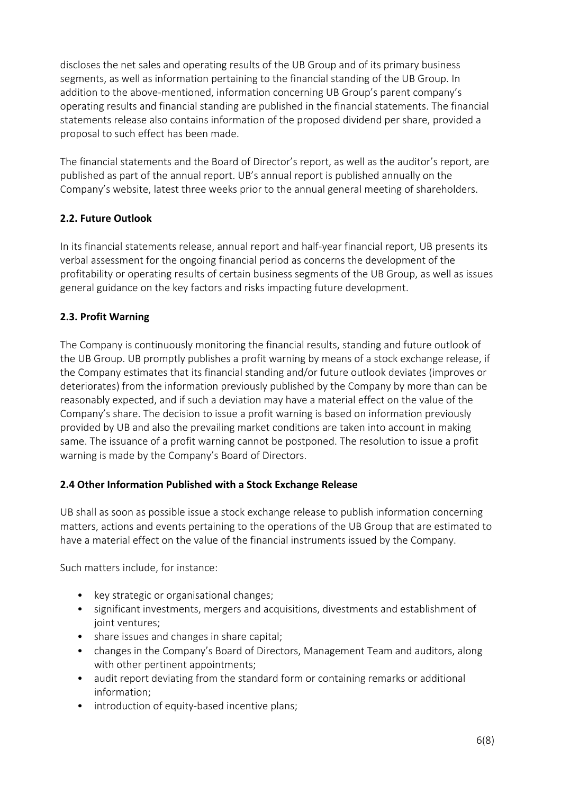discloses the net sales and operating results of the UB Group and of its primary business segments, as well as information pertaining to the financial standing of the UB Group. In addition to the above-mentioned, information concerning UB Group's parent company's operating results and financial standing are published in the financial statements. The financial statements release also contains information of the proposed dividend per share, provided a proposal to such effect has been made.

The financial statements and the Board of Director's report, as well as the auditor's report, are published as part of the annual report. UB's annual report is published annually on the Company's website, latest three weeks prior to the annual general meeting of shareholders.

#### **2.2. Future Outlook**

In its financial statements release, annual report and half-year financial report, UB presents its verbal assessment for the ongoing financial period as concerns the development of the profitability or operating results of certain business segments of the UB Group, as well as issues general guidance on the key factors and risks impacting future development.

#### **2.3. Profit Warning**

The Company is continuously monitoring the financial results, standing and future outlook of the UB Group. UB promptly publishes a profit warning by means of a stock exchange release, if the Company estimates that its financial standing and/or future outlook deviates (improves or deteriorates) from the information previously published by the Company by more than can be reasonably expected, and if such a deviation may have a material effect on the value of the Company's share. The decision to issue a profit warning is based on information previously provided by UB and also the prevailing market conditions are taken into account in making same. The issuance of a profit warning cannot be postponed. The resolution to issue a profit warning is made by the Company's Board of Directors.

#### **2.4 Other Information Published with a Stock Exchange Release**

UB shall as soon as possible issue a stock exchange release to publish information concerning matters, actions and events pertaining to the operations of the UB Group that are estimated to have a material effect on the value of the financial instruments issued by the Company.

Such matters include, for instance:

- key strategic or organisational changes;
- significant investments, mergers and acquisitions, divestments and establishment of joint ventures;
- share issues and changes in share capital;
- changes in the Company's Board of Directors, Management Team and auditors, along with other pertinent appointments;
- audit report deviating from the standard form or containing remarks or additional information;
- introduction of equity-based incentive plans;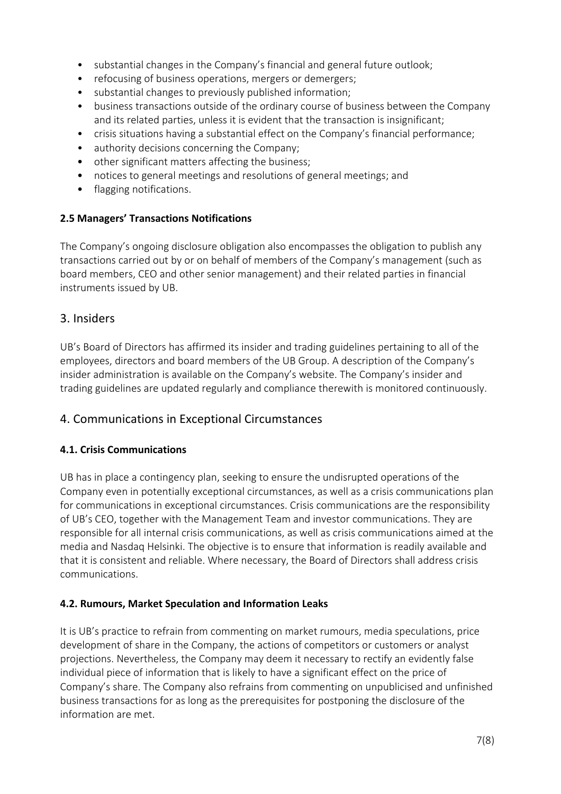- substantial changes in the Company's financial and general future outlook;
- refocusing of business operations, mergers or demergers;
- substantial changes to previously published information;
- business transactions outside of the ordinary course of business between the Company and its related parties, unless it is evident that the transaction is insignificant;
- crisis situations having a substantial effect on the Company's financial performance;
- authority decisions concerning the Company;
- other significant matters affecting the business;
- notices to general meetings and resolutions of general meetings; and
- flagging notifications.

#### **2.5 Managers' Transactions Notifications**

The Company's ongoing disclosure obligation also encompasses the obligation to publish any transactions carried out by or on behalf of members of the Company's management (such as board members, CEO and other senior management) and their related parties in financial instruments issued by UB.

## 3. Insiders

UB's Board of Directors has affirmed its insider and trading guidelines pertaining to all of the employees, directors and board members of the UB Group. A description of the Company's insider administration is available on the Company's website. The Company's insider and trading guidelines are updated regularly and compliance therewith is monitored continuously.

# 4. Communications in Exceptional Circumstances

## **4.1. Crisis Communications**

UB has in place a contingency plan, seeking to ensure the undisrupted operations of the Company even in potentially exceptional circumstances, as well as a crisis communications plan for communications in exceptional circumstances. Crisis communications are the responsibility of UB's CEO, together with the Management Team and investor communications. They are responsible for all internal crisis communications, as well as crisis communications aimed at the media and Nasdaq Helsinki. The objective is to ensure that information is readily available and that it is consistent and reliable. Where necessary, the Board of Directors shall address crisis communications.

#### **4.2. Rumours, Market Speculation and Information Leaks**

It is UB's practice to refrain from commenting on market rumours, media speculations, price development of share in the Company, the actions of competitors or customers or analyst projections. Nevertheless, the Company may deem it necessary to rectify an evidently false individual piece of information that is likely to have a significant effect on the price of Company's share. The Company also refrains from commenting on unpublicised and unfinished business transactions for as long as the prerequisites for postponing the disclosure of the information are met.